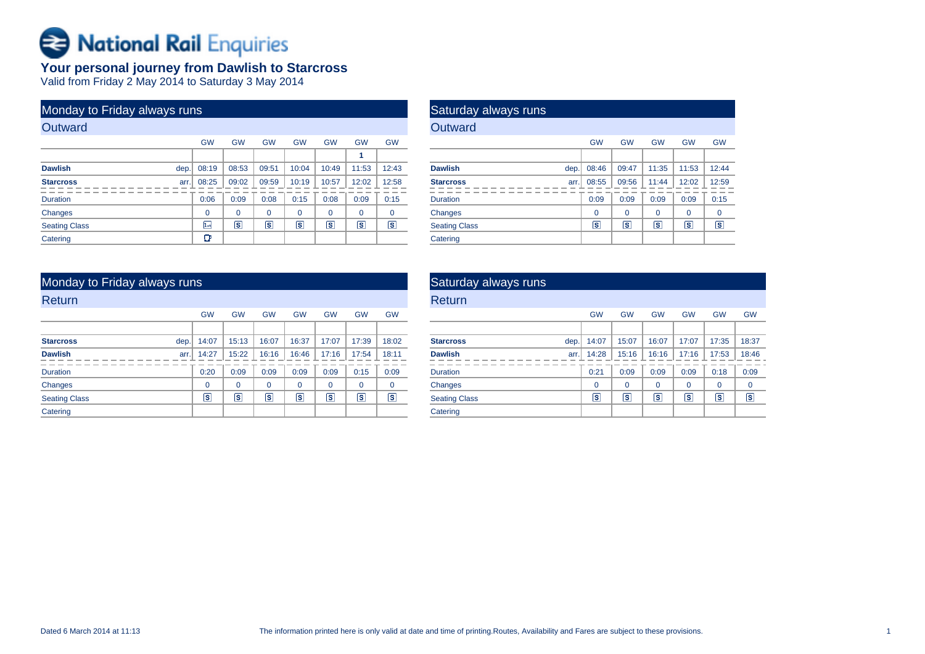# **Bational Rail Enquiries**

## **Your personal journey from Dawlish to Starcross**

Valid from Friday 2 May 2014 to Saturday 3 May 2014

| Monday to Friday always runs |      |           |           |                         |           |           |                         |           |
|------------------------------|------|-----------|-----------|-------------------------|-----------|-----------|-------------------------|-----------|
| Outward                      |      |           |           |                         |           |           |                         |           |
|                              |      | <b>GW</b> | <b>GW</b> | <b>GW</b>               | <b>GW</b> | <b>GW</b> | <b>GW</b>               | <b>GW</b> |
|                              |      |           |           |                         |           |           | 1                       |           |
| <b>Dawlish</b>               | dep. | 08:19     | 08:53     | 09:51                   | 10:04     | 10:49     | 11:53                   | 12:43     |
| <b>Starcross</b>             | arr. | 08:25     | 09:02     | 09:59                   | 10:19     | 10:57     | 12:02                   | 12:58     |
| <b>Duration</b>              |      | 0:06      | 0:09      | 0:08                    | 0:15      | 0:08      | 0:09                    | 0:15      |
| Changes                      |      | $\Omega$  | $\Omega$  | $\Omega$                | $\Omega$  | $\Omega$  | $\Omega$                | $\Omega$  |
| <b>Seating Class</b>         |      | 1st       | s         | $\overline{\mathbf{s}}$ | ls        | ls        | $\overline{\mathbf{s}}$ | s         |
| Catering                     |      | œ         |           |                         |           |           |                         |           |

| Saturday always runs |      |           |                         |                |           |           |
|----------------------|------|-----------|-------------------------|----------------|-----------|-----------|
| Outward              |      |           |                         |                |           |           |
|                      |      | <b>GW</b> | <b>GW</b>               | <b>GW</b>      | <b>GW</b> | <b>GW</b> |
|                      |      |           |                         |                |           |           |
| <b>Dawlish</b>       | dep. | 08:46     | 09:47                   | 11:35          | 11:53     | 12:44     |
| <b>Starcross</b>     | arr. | 08:55     | 09:56                   | 11:44          | 12:02     | 12:59     |
| <b>Duration</b>      |      | 0:09      | 0:09                    | 0:09           | 0:09      | 0:15      |
| Changes              |      | $\Omega$  | $\Omega$                | $\Omega$       | $\Omega$  | $\Omega$  |
| <b>Seating Class</b> |      | S         | $\overline{\mathbf{s}}$ | $ \mathbf{s} $ | ls        | s         |
| Catering             |      |           |                         |                |           |           |

| Monday to Friday always runs |               |           |                |                         |             |           |                |
|------------------------------|---------------|-----------|----------------|-------------------------|-------------|-----------|----------------|
| <b>Return</b>                |               |           |                |                         |             |           |                |
|                              | <b>GW</b>     | <b>GW</b> | <b>GW</b>      | <b>GW</b>               | <b>GW</b>   | <b>GW</b> | <b>GW</b>      |
|                              |               |           |                |                         |             |           |                |
| dep.<br><b>Starcross</b>     | 14:07         | 15:13     | 16:07          | 16:37                   | 17:07       | 17:39     | 18:02          |
| <b>Dawlish</b>               | 14:27<br>arr. | 15:22     | 16:16          | 16:46                   | 17:16       | 17:54     | 18:11          |
| <b>Duration</b>              | 0:20          | 0:09      | 0:09           | 0:09                    | 0:09        | 0:15      | 0:09           |
| Changes                      | $\Omega$      | $\Omega$  | 0              | $\mathbf 0$             | $\mathbf 0$ | $\Omega$  | $\mathbf 0$    |
| <b>Seating Class</b>         | Γs            | ΓS        | $\overline{s}$ | $\overline{\mathbf{s}}$ | ls.         | s         | $ \mathsf{s} $ |
| Catering                     |               |           |                |                         |             |           |                |

| Saturday always runs     |           |           |           |           |           |           |
|--------------------------|-----------|-----------|-----------|-----------|-----------|-----------|
| Return                   |           |           |           |           |           |           |
|                          | <b>GW</b> | <b>GW</b> | <b>GW</b> | <b>GW</b> | <b>GW</b> | <b>GW</b> |
|                          |           |           |           |           |           |           |
| <b>Starcross</b><br>dep. | 14:07     | 15:07     | 16:07     | 17:07     | 17:35     | 18:37     |
| <b>Dawlish</b><br>arr.   | 14:28     | 15:16     | 16:16     | 17:16     | 17:53     | 18:46     |
| <b>Duration</b>          | 0:21      | 0:09      | 0:09      | 0:09      | 0:18      | 0:09      |
| Changes                  | $\Omega$  | 0         | $\Omega$  | $\Omega$  | $\Omega$  | $\Omega$  |
| <b>Seating Class</b>     | ıs۱       | ls.       | ls.       | s         | ls.       | ls        |
| Catering                 |           |           |           |           |           |           |